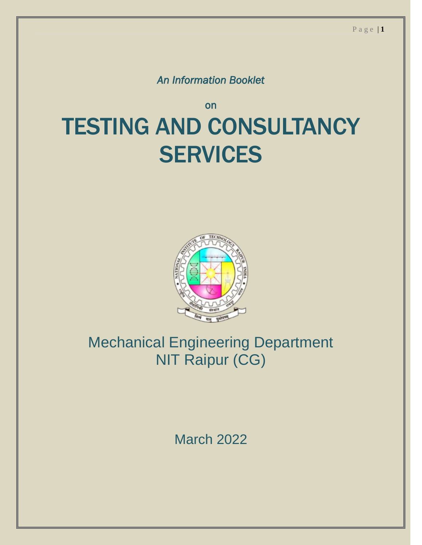*An Information Booklet* 

### on TESTING AND CONSULTANCY **SERVICES**



### Mechanical Engineering Department NIT Raipur (CG)

March 2022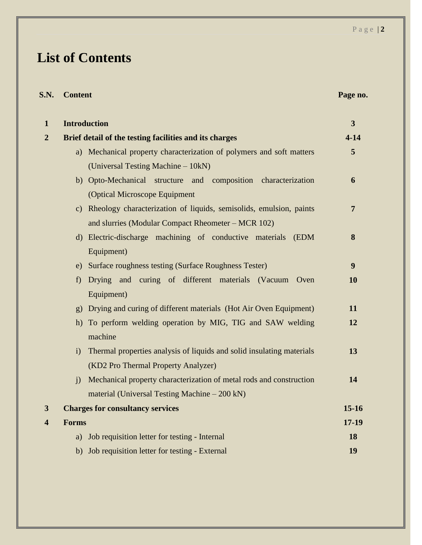### **List of Contents**

| S.N.                    | <b>Content</b> |                                                                       | Page no.                |
|-------------------------|----------------|-----------------------------------------------------------------------|-------------------------|
| $\mathbf{1}$            |                | <b>Introduction</b>                                                   | $\overline{\mathbf{3}}$ |
| $\overline{2}$          |                | Brief detail of the testing facilities and its charges                | $4 - 14$                |
|                         |                | a) Mechanical property characterization of polymers and soft matters  | 5                       |
|                         |                | (Universal Testing Machine – 10kN)                                    |                         |
|                         |                | b) Opto-Mechanical structure and composition characterization         | 6                       |
|                         |                | (Optical Microscope Equipment                                         |                         |
|                         |                | c) Rheology characterization of liquids, semisolids, emulsion, paints | $\overline{7}$          |
|                         |                | and slurries (Modular Compact Rheometer – MCR 102)                    |                         |
|                         |                | d) Electric-discharge machining of conductive materials<br>(EDM)      | 8                       |
|                         |                | Equipment)                                                            |                         |
|                         |                | e) Surface roughness testing (Surface Roughness Tester)               | 9                       |
|                         | f              | Drying and curing of different materials (Vacuum<br>Oven              | <b>10</b>               |
|                         |                | Equipment)                                                            |                         |
|                         | g)             | Drying and curing of different materials (Hot Air Oven Equipment)     | 11                      |
|                         |                | h) To perform welding operation by MIG, TIG and SAW welding           | 12                      |
|                         |                | machine                                                               |                         |
|                         | i)             | Thermal properties analysis of liquids and solid insulating materials | 13                      |
|                         |                | (KD2 Pro Thermal Property Analyzer)                                   |                         |
|                         | $\mathbf{i}$   | Mechanical property characterization of metal rods and construction   | 14                      |
|                         |                | material (Universal Testing Machine – 200 kN)                         |                         |
| 3                       |                | <b>Charges for consultancy services</b>                               | 15-16                   |
| $\overline{\mathbf{4}}$ | <b>Forms</b>   |                                                                       | $17 - 19$               |
|                         | a)             | Job requisition letter for testing - Internal                         | 18                      |
|                         | b)             | Job requisition letter for testing - External                         | 19                      |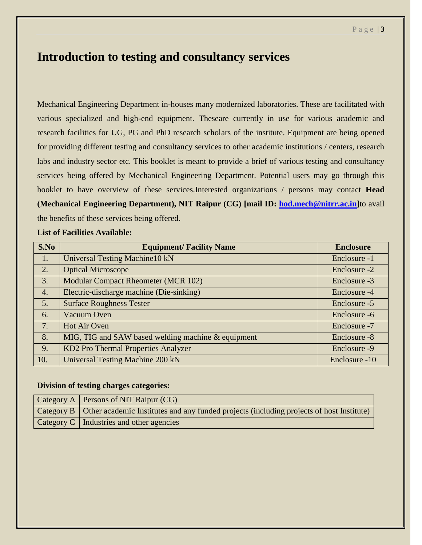#### **Introduction to testing and consultancy services**

Mechanical Engineering Department in-houses many modernized laboratories. These are facilitated with various specialized and high-end equipment. Theseare currently in use for various academic and research facilities for UG, PG and PhD research scholars of the institute. Equipment are being opened for providing different testing and consultancy services to other academic institutions / centers, research labs and industry sector etc. This booklet is meant to provide a brief of various testing and consultancy services being offered by Mechanical Engineering Department. Potential users may go through this booklet to have overview of these services.Interested organizations / persons may contact **Head (Mechanical Engineering Department), NIT Raipur (CG) [mail ID: [hod.mech@nitrr.ac.in\]](mailto:hod.mech@nitrr.ac.in)**to avail the benefits of these services being offered.

#### **List of Facilities Available:**

| S.No             | <b>Equipment/Facility Name</b>                     | <b>Enclosure</b> |
|------------------|----------------------------------------------------|------------------|
| 1.               | <b>Universal Testing Machine10 kN</b>              | Enclosure -1     |
| 2.               | <b>Optical Microscope</b>                          | Enclosure -2     |
| 3.               | <b>Modular Compact Rheometer (MCR 102)</b>         | Enclosure -3     |
| $\overline{4}$ . | Electric-discharge machine (Die-sinking)           | Enclosure -4     |
| 5.               | <b>Surface Roughness Tester</b>                    | Enclosure -5     |
| 6.               | Vacuum Oven                                        | Enclosure -6     |
| 7.               | Hot Air Oven                                       | Enclosure -7     |
| 8.               | MIG, TIG and SAW based welding machine & equipment | Enclosure -8     |
| 9.               | KD2 Pro Thermal Properties Analyzer                | Enclosure -9     |
| 10.              | <b>Universal Testing Machine 200 kN</b>            | Enclosure -10    |

#### **Division of testing charges categories:**

| $\vert$ Category A $\vert$ Persons of NIT Raipur (CG)                                                 |
|-------------------------------------------------------------------------------------------------------|
| Category B   Other academic Institutes and any funded projects (including projects of host Institute) |
| Category C   Industries and other agencies                                                            |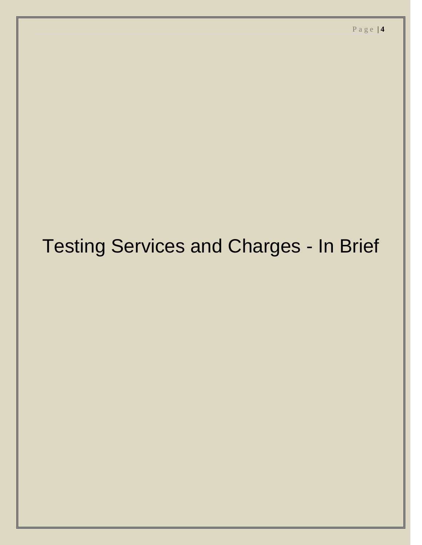## Testing Services and Charges - In Brief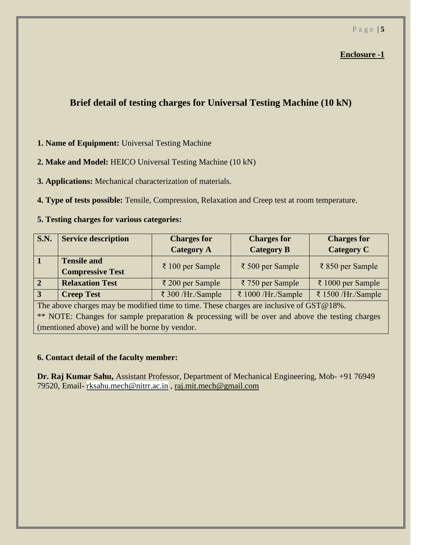#### **Brief detail of testing charges for Universal Testing Machine (10 kN)**

#### **1. Name of Equipment:** Universal Testing Machine

#### **2. Make and Model:** HEICO Universal Testing Machine (10 kN)

#### **3. Applications:** Mechanical characterization of materials.

#### **4. Type of tests possible:** Tensile, Compression, Relaxation and Creep test at room temperature.

#### **5. Testing charges for various categories:**

| <b>S.N.</b>    | <b>Service description</b>                    | <b>Charges for</b><br><b>Category A</b> | <b>Charges for</b><br><b>Category B</b> | <b>Charges for</b><br><b>Category C</b> |
|----------------|-----------------------------------------------|-----------------------------------------|-----------------------------------------|-----------------------------------------|
| $\mathbf 1$    | <b>Tensile and</b><br><b>Compressive Test</b> | $\bar{\tau}$ 100 per Sample             | ₹ 500 per Sample                        | ₹ 850 per Sample                        |
| $\overline{2}$ | <b>Relaxation Test</b>                        | ₹ 200 per Sample                        | ₹ 750 per Sample                        | ₹ 1000 per Sample                       |
| $\vert 3$      | <b>Creep Test</b>                             | ₹ 300 /Hr./Sample                       | ₹ 1000 /Hr./Sample                      | ₹ 1500 /Hr./Sample                      |

The above charges may be modified time to time. These charges are inclusive of GST@18%. \*\* NOTE: Changes for sample preparation & processing will be over and above the testing charges (mentioned above) and will be borne by vendor.

#### **6. Contact detail of the faculty member:**

**Dr. Raj Kumar Sahu,** Assistant Professor, Department of Mechanical Engineering, Mob- +91 76949 79520, Email- [rksahu.mech@nitrr.ac.in](mailto:rksahu.mech@nitrr.ac.in) , [raj.mit.mech@gmail.com](mailto:raj.mit.mech@gmail.com)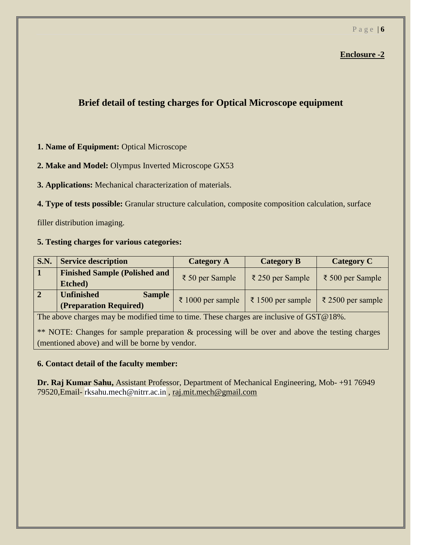#### **Brief detail of testing charges for Optical Microscope equipment**

#### **1. Name of Equipment:** Optical Microscope

#### **2. Make and Model:** Olympus Inverted Microscope GX53

**3. Applications:** Mechanical characterization of materials.

**4. Type of tests possible:** Granular structure calculation, composite composition calculation, surface

filler distribution imaging.

#### **5. Testing charges for various categories:**

| S.N. | <b>Service description</b>                                   | <b>Category A</b>                | <b>Category B</b>           | <b>Category C</b> |
|------|--------------------------------------------------------------|----------------------------------|-----------------------------|-------------------|
|      | <b>Finished Sample (Polished and</b><br>Etched)              | $\bar{z}$ 50 per Sample          | $\bar{\xi}$ 250 per Sample  | ₹ 500 per Sample  |
|      | <b>Unfinished</b><br><b>Sample</b><br>(Preparation Required) | $\bar{\epsilon}$ 1000 per sample | $\bar{\xi}$ 1500 per sample | ₹ 2500 per sample |

The above charges may be modified time to time. These charges are inclusive of GST@18%.

\*\* NOTE: Changes for sample preparation & processing will be over and above the testing charges (mentioned above) and will be borne by vendor.

#### **6. Contact detail of the faculty member:**

**Dr. Raj Kumar Sahu,** Assistant Professor, Department of Mechanical Engineering, Mob- +91 76949 79520,Email- rksahu.mech@nitrr.ac.in , [raj.mit.mech@gmail.com](mailto:raj.mit.mech@gmail.com)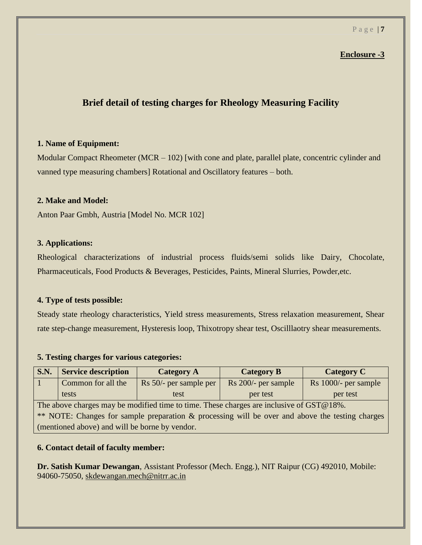#### **Brief detail of testing charges for Rheology Measuring Facility**

#### **1. Name of Equipment:**

Modular Compact Rheometer (MCR – 102) [with cone and plate, parallel plate, concentric cylinder and vanned type measuring chambers] Rotational and Oscillatory features – both.

#### **2. Make and Model:**

Anton Paar Gmbh, Austria [Model No. MCR 102]

#### **3. Applications:**

Rheological characterizations of industrial process fluids/semi solids like Dairy, Chocolate, Pharmaceuticals, Food Products & Beverages, Pesticides, Paints, Mineral Slurries, Powder,etc.

#### **4. Type of tests possible:**

Steady state rheology characteristics, Yield stress measurements, Stress relaxation measurement, Shear rate step-change measurement, Hysteresis loop, Thixotropy shear test, Oscilllaotry shear measurements.

#### **5. Testing charges for various categories:**

| S.N.                                                                                            | <b>Service description</b> | <b>Category A</b>      | <b>Category B</b>   | <b>Category C</b>    |  |
|-------------------------------------------------------------------------------------------------|----------------------------|------------------------|---------------------|----------------------|--|
|                                                                                                 | Common for all the         | Rs 50/- per sample per | Rs 200/- per sample | Rs 1000/- per sample |  |
|                                                                                                 | tests                      | test                   | per test            | per test             |  |
| The above charges may be modified time to time. These charges are inclusive of GST@18%.         |                            |                        |                     |                      |  |
| ** NOTE: Changes for sample preparation & processing will be over and above the testing charges |                            |                        |                     |                      |  |
| (mentioned above) and will be borne by vendor.                                                  |                            |                        |                     |                      |  |

#### **6. Contact detail of faculty member:**

**Dr. Satish Kumar Dewangan**, Assistant Professor (Mech. Engg.), NIT Raipur (CG) 492010, Mobile: 94060-75050, [skdewangan.mech@nitrr.ac.in](mailto:skdewangan.mech@nitrr.ac.in)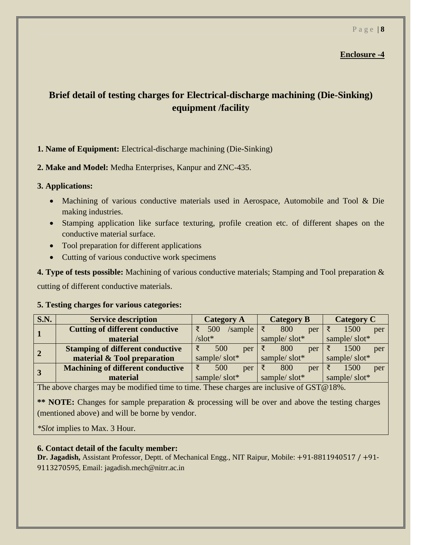#### P a g e | **8**

#### **Enclosure -4**

#### **Brief detail of testing charges for Electrical-discharge machining (Die-Sinking) equipment /facility**

#### **1. Name of Equipment:** Electrical-discharge machining (Die-Sinking)

**2. Make and Model:** Medha Enterprises, Kanpur and ZNC-435.

#### **3. Applications:**

- Machining of various conductive materials used in Aerospace, Automobile and Tool & Die making industries.
- Stamping application like surface texturing, profile creation etc. of different shapes on the conductive material surface.
- Tool preparation for different applications
- Cutting of various conductive work specimens

**4. Type of tests possible:** Machining of various conductive materials; Stamping and Tool preparation & cutting of different conductive materials.

#### **5. Testing charges for various categories:**

| S.N.           | <b>Service description</b>               | <b>Category A</b>     | <b>Category B</b> | <b>Category C</b> |
|----------------|------------------------------------------|-----------------------|-------------------|-------------------|
|                | <b>Cutting of different conductive</b>   | 500<br>/sample        | 800<br>per        | 1500<br>per       |
|                | material                                 | $\sqrt{\text{slot*}}$ | sample/slot*      |                   |
| $\overline{2}$ | <b>Stamping of different conductive</b>  | 500<br>per            | 800<br>per        | 1500<br>per       |
|                | material & Tool preparation              | sample/slot*          | sample/slot*      | sample/slot*      |
| $\overline{3}$ | <b>Machining of different conductive</b> | ₹<br>500<br>per       | 800<br>per        | 1500<br>per       |
|                | material                                 | sample/slot*          | sample/slot*      | sample/slot*      |

The above charges may be modified time to time. These charges are inclusive of GST@18%.

**\*\* NOTE:** Changes for sample preparation & processing will be over and above the testing charges (mentioned above) and will be borne by vendor.

*\*Slot* implies to Max. 3 Hour.

#### **6. Contact detail of the faculty member:**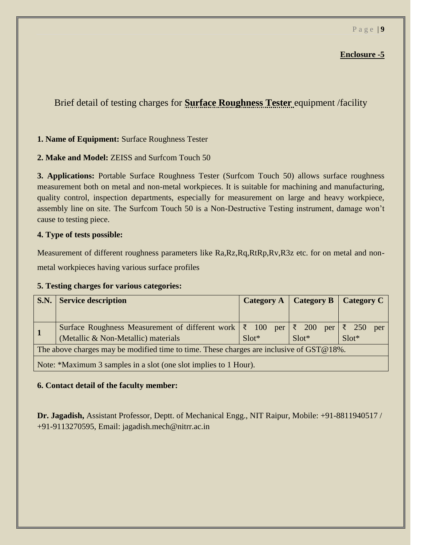Brief detail of testing charges for **Surface Roughness Tester** equipment /facility

#### **1. Name of Equipment:** Surface Roughness Tester

**2. Make and Model:** ZEISS and Surfcom Touch 50

**3. Applications:** Portable Surface Roughness Tester (Surfcom Touch 50) allows surface roughness measurement both on metal and non-metal workpieces. It is suitable for machining and manufacturing, quality control, inspection departments, especially for measurement on large and heavy workpiece, assembly line on site. The Surfcom Touch 50 is a Non-Destructive Testing instrument, damage won't cause to testing piece.

#### **4. Type of tests possible:**

Measurement of different roughness parameters like Ra,Rz,Rq,RtRp,Rv,R3z etc. for on metal and nonmetal workpieces having various surface profiles

#### **5. Testing charges for various categories:**

|                                                                                         | <b>S.N.</b> Service description                                                 |         |         | Category A   Category B   Category C |  |
|-----------------------------------------------------------------------------------------|---------------------------------------------------------------------------------|---------|---------|--------------------------------------|--|
|                                                                                         |                                                                                 |         |         |                                      |  |
|                                                                                         | Surface Roughness Measurement of different work $ \xi $ 100 per $ \xi $ 200 per |         |         | ₹ 250<br>Slot*<br>per                |  |
|                                                                                         | (Metallic & Non-Metallic) materials                                             | $Slot*$ | $Slot*$ |                                      |  |
| The above charges may be modified time to time. These charges are inclusive of GST@18%. |                                                                                 |         |         |                                      |  |
|                                                                                         | Note: *Maximum 3 samples in a slot (one slot implies to 1 Hour).                |         |         |                                      |  |

#### **6. Contact detail of the faculty member:**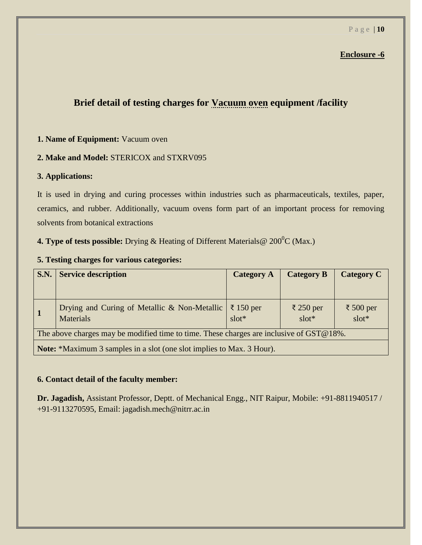#### **Brief detail of testing charges for Vacuum oven equipment /facility**

#### **1. Name of Equipment:** Vacuum oven

#### **2. Make and Model:** STERICOX and STXRV095

#### **3. Applications:**

It is used in drying and curing processes within industries such as pharmaceuticals, textiles, paper, ceramics, and rubber. Additionally, vacuum ovens form part of an important process for removing solvents from botanical extractions

**4. Type of tests possible:** Drying & Heating of Different Materials @ 200<sup>0</sup>C (Max.)

#### **5. Testing charges for various categories:**

| <b>S.N.</b>                                                                             | <b>Service description</b>                                                   | <b>Category A</b> | <b>Category B</b>    | <b>Category C</b>    |  |
|-----------------------------------------------------------------------------------------|------------------------------------------------------------------------------|-------------------|----------------------|----------------------|--|
|                                                                                         |                                                                              |                   |                      |                      |  |
| $\vert$ 1                                                                               | Drying and Curing of Metallic & Non-Metallic $ \xi $ 150 per<br>Materials    | $slot*$           | ₹ 250 per<br>$slot*$ | ₹ 500 per<br>$slot*$ |  |
| The above charges may be modified time to time. These charges are inclusive of GST@18%. |                                                                              |                   |                      |                      |  |
|                                                                                         | <b>Note:</b> *Maximum 3 samples in a slot (one slot implies to Max. 3 Hour). |                   |                      |                      |  |

#### **6. Contact detail of the faculty member:**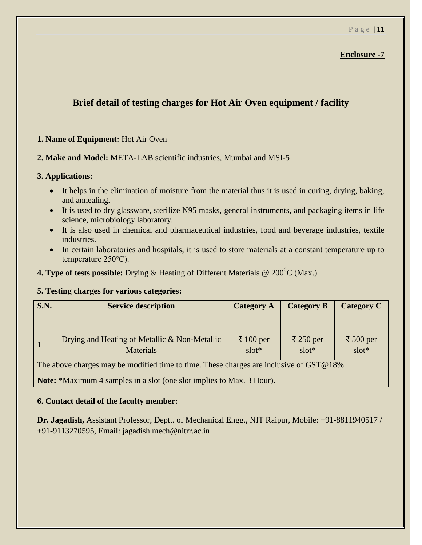#### **Brief detail of testing charges for Hot Air Oven equipment / facility**

#### **1. Name of Equipment:** Hot Air Oven

#### **2. Make and Model:** META-LAB scientific industries, Mumbai and MSI-5

#### **3. Applications:**

- It helps in the elimination of moisture from the material thus it is used in curing, drying, baking, and annealing.
- It is used to dry glassware, sterilize N95 masks, general instruments, and packaging items in life science, microbiology laboratory.
- It is also used in chemical and pharmaceutical industries, food and beverage industries, textile industries.
- In certain laboratories and hospitals, it is used to store materials at a constant temperature up to temperature 250℃).

**4. Type of tests possible:** Drying & Heating of Different Materials @ 200<sup>0</sup>C (Max.)

#### **5. Testing charges for various categories:**

| <b>S.N.</b>                                                                             | <b>Service description</b>                                        | <b>Category A</b>    | <b>Category B</b>    | <b>Category C</b>    |
|-----------------------------------------------------------------------------------------|-------------------------------------------------------------------|----------------------|----------------------|----------------------|
| $\vert$ 1                                                                               | Drying and Heating of Metallic & Non-Metallic<br><b>Materials</b> | ₹ 100 per<br>$slot*$ | ₹ 250 per<br>$slot*$ | ₹ 500 per<br>$slot*$ |
| The above charges may be modified time to time. These charges are inclusive of GST@18%. |                                                                   |                      |                      |                      |
| Note: *Maximum 4 samples in a slot (one slot implies to Max. 3 Hour).                   |                                                                   |                      |                      |                      |

**6. Contact detail of the faculty member:**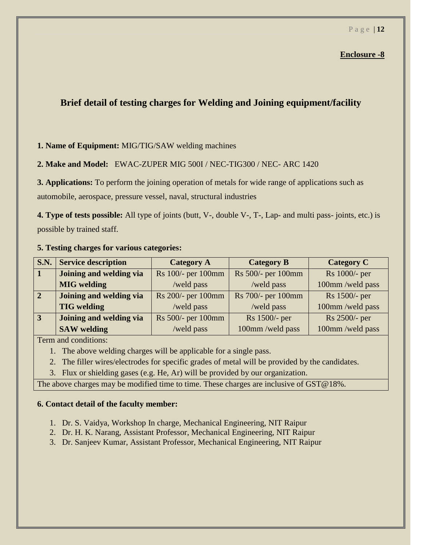#### **Brief detail of testing charges for Welding and Joining equipment/facility**

#### **1. Name of Equipment:** MIG/TIG/SAW welding machines

#### **2. Make and Model:** EWAC-ZUPER MIG 500I / NEC-TIG300 / NEC- ARC 1420

**3. Applications:** To perform the joining operation of metals for wide range of applications such as automobile, aerospace, pressure vessel, naval, structural industries

**4. Type of tests possible:** All type of joints (butt, V-, double V-, T-, Lap- and multi pass- joints, etc.) is possible by trained staff.

#### **5. Testing charges for various categories:**

| <b>S.N.</b>    | <b>Service description</b> | <b>Category A</b>  | <b>Category B</b>  | <b>Category C</b> |
|----------------|----------------------------|--------------------|--------------------|-------------------|
|                | Joining and welding via    | Rs 100/- per 100mm | Rs 500/- per 100mm | Rs 1000/- per     |
|                | <b>MIG</b> welding         | /weld pass         | /weld pass         | 100mm/weld pass   |
| $\overline{2}$ | Joining and welding via    | Rs 200/- per 100mm | Rs 700/- per 100mm | Rs 1500/- per     |
|                | <b>TIG</b> welding         | /weld pass         | /weld pass         | 100mm/weld pass   |
| $\overline{3}$ | Joining and welding via    | Rs 500/- per 100mm | Rs 1500/- per      | Rs 2500/- per     |
|                | <b>SAW</b> welding         | /weld pass         | 100mm/weld pass    | 100mm/weld pass   |

Term and conditions:

- 1. The above welding charges will be applicable for a single pass.
- 2. The filler wires/electrodes for specific grades of metal will be provided by the candidates.
- 3. Flux or shielding gases (e.g. He, Ar) will be provided by our organization.

The above charges may be modified time to time. These charges are inclusive of GST@18%.

#### **6. Contact detail of the faculty member:**

- 1. Dr. S. Vaidya, Workshop In charge, Mechanical Engineering, NIT Raipur
- 2. Dr. H. K. Narang, Assistant Professor, Mechanical Engineering, NIT Raipur
- 3. Dr. Sanjeev Kumar, Assistant Professor, Mechanical Engineering, NIT Raipur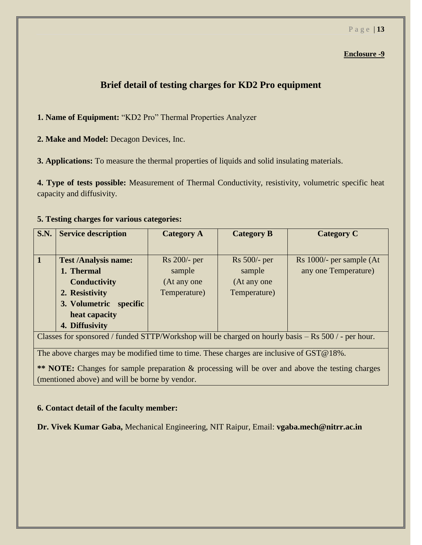#### **Brief detail of testing charges for KD2 Pro equipment**

**1. Name of Equipment:** "KD2 Pro" Thermal Properties Analyzer

**2. Make and Model:** Decagon Devices, Inc.

**3. Applications:** To measure the thermal properties of liquids and solid insulating materials.

**4. Type of tests possible:** Measurement of Thermal Conductivity, resistivity, volumetric specific heat capacity and diffusivity.

#### **5. Testing charges for various categories:**

| <b>S.N.</b> | <b>Service description</b>  | <b>Category A</b>                                                                                        | <b>Category B</b> | <b>Category C</b>        |
|-------------|-----------------------------|----------------------------------------------------------------------------------------------------------|-------------------|--------------------------|
|             | <b>Test /Analysis name:</b> | Rs 200/- per                                                                                             | $Rs 500/-$ per    | Rs 1000/- per sample (At |
|             |                             |                                                                                                          |                   |                          |
|             | 1. Thermal                  | sample                                                                                                   | sample            | any one Temperature)     |
|             | <b>Conductivity</b>         | (At any one                                                                                              | (At any one       |                          |
|             | 2. Resistivity              | Temperature)                                                                                             | Temperature)      |                          |
|             | 3. Volumetric specific      |                                                                                                          |                   |                          |
|             | heat capacity               |                                                                                                          |                   |                          |
|             | 4. Diffusivity              |                                                                                                          |                   |                          |
| $\sim$      | $\sim$ $\sim$               | $\begin{array}{ccccccccccccccccc} \bullet & \bullet & \bullet & \bullet & \bullet & \bullet \end{array}$ | .                 |                          |

Classes for sponsored / funded STTP/Workshop will be charged on hourly basis – Rs 500 / - per hour.

The above charges may be modified time to time. These charges are inclusive of GST@18%.

**\*\* NOTE:** Changes for sample preparation & processing will be over and above the testing charges (mentioned above) and will be borne by vendor.

#### **6. Contact detail of the faculty member:**

**Dr. Vivek Kumar Gaba,** Mechanical Engineering, NIT Raipur, Email: **vgaba.mech@nitrr.ac.in**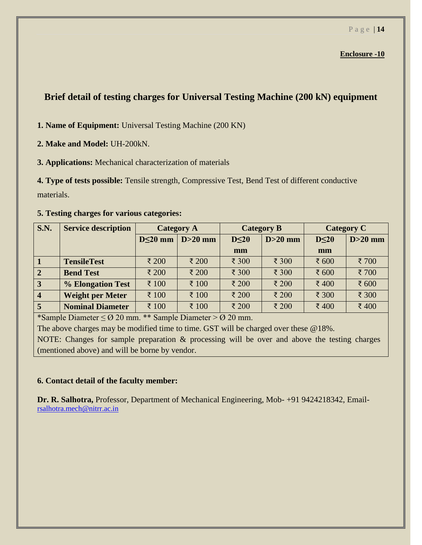#### **Brief detail of testing charges for Universal Testing Machine (200 kN) equipment**

**1. Name of Equipment:** Universal Testing Machine (200 KN)

- **2. Make and Model:** UH-200kN.
- **3. Applications:** Mechanical characterization of materials

**4. Type of tests possible:** Tensile strength, Compressive Test, Bend Test of different conductive materials.

#### **5. Testing charges for various categories:**

| <b>S.N.</b>     | <b>Service description</b> | <b>Category A</b> |           | <b>Category B</b> |                      | <b>Category C</b> |           |
|-----------------|----------------------------|-------------------|-----------|-------------------|----------------------|-------------------|-----------|
|                 |                            | $D \leq 20$ mm    | $D>20$ mm | $D \leq 20$       | $D>20$ mm            | $D \leq 20$       | $D>20$ mm |
|                 |                            |                   |           | mm                |                      | mm                |           |
| $\vert$ 1       | <b>TensileTest</b>         | ₹ 200             | ₹ 200     | ₹ 300             | $\overline{\xi}$ 300 | ₹ 600             | ₹700      |
| $\sqrt{2}$      | <b>Bend Test</b>           | ₹ 200             | ₹ 200     | ₹ 300             | $\overline{\xi}$ 300 | ₹ $600$           | ₹700      |
| $\vert 3 \vert$ | % Elongation Test          | ₹ 100             | ₹ 100     | ₹ 200             | ₹ 200                | ₹400              | ₹ 600     |
| $\vert 4$       | <b>Weight per Meter</b>    | ₹ 100             | ₹ 100     | ₹ 200             | ₹ 200                | ₹ 300             | ₹ 300     |
| $\overline{5}$  | <b>Nominal Diameter</b>    | ₹ 100             | ₹ 100     | ₹ 200             | ₹ 200                | ₹400              | ₹400      |

\*Sample Diameter ≤ Ø 20 mm. \*\* Sample Diameter > Ø 20 mm.

The above charges may be modified time to time. GST will be charged over these @18%.

NOTE: Changes for sample preparation & processing will be over and above the testing charges (mentioned above) and will be borne by vendor.

#### **6. Contact detail of the faculty member:**

**Dr. R. Salhotra,** Professor, Department of Mechanical Engineering, Mob- +91 9424218342, Email[rsalhotra.mech@nitrr.ac.in](mailto:rsalhotra.mech@nitrr.ac.in)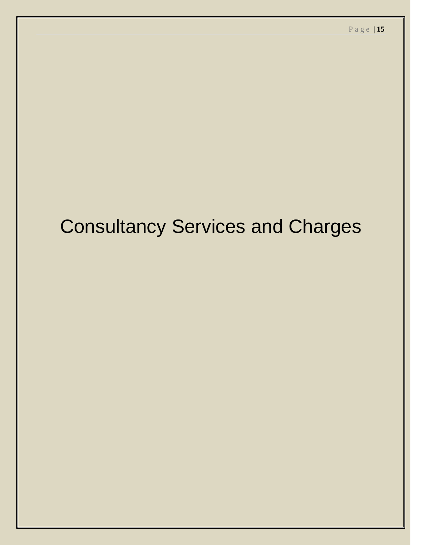## Consultancy Services and Charges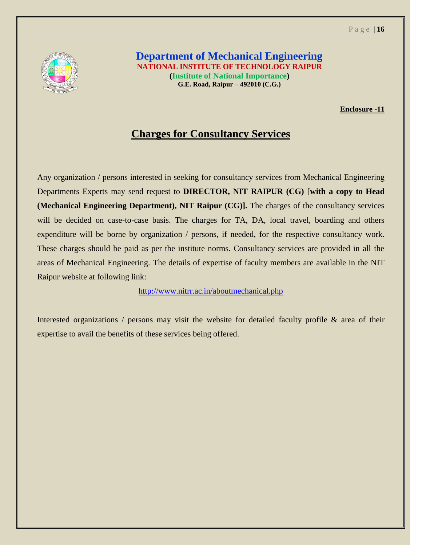

**Department of Mechanical Engineering NATIONAL INSTITUTE OF TECHNOLOGY RAIPUR (Institute of National Importance) G.E. Road, Raipur – 492010 (C.G.)**

**Enclosure -11**

#### **Charges for Consultancy Services**

Any organization / persons interested in seeking for consultancy services from Mechanical Engineering Departments Experts may send request to **DIRECTOR, NIT RAIPUR (CG)** [**with a copy to Head (Mechanical Engineering Department), NIT Raipur (CG)].** The charges of the consultancy services will be decided on case-to-case basis. The charges for TA, DA, local travel, boarding and others expenditure will be borne by organization / persons, if needed, for the respective consultancy work. These charges should be paid as per the institute norms. Consultancy services are provided in all the areas of Mechanical Engineering. The details of expertise of faculty members are available in the NIT Raipur website at following link:

<http://www.nitrr.ac.in/aboutmechanical.php>

Interested organizations / persons may visit the website for detailed faculty profile & area of their expertise to avail the benefits of these services being offered.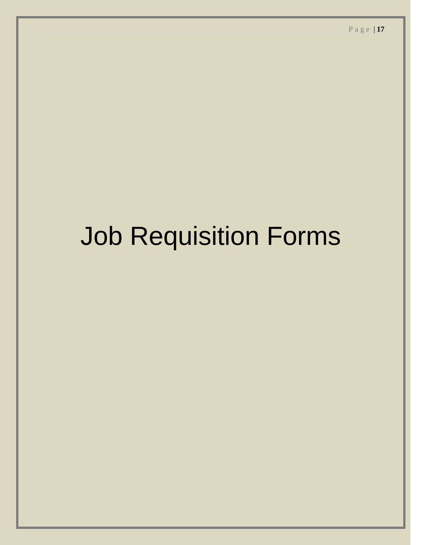# Job Requisition Forms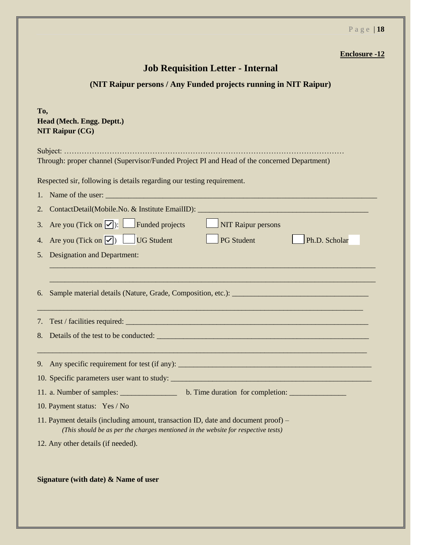| <b>Job Requisition Letter - Internal</b>                                                                                                                               |  |  |  |  |  |  |
|------------------------------------------------------------------------------------------------------------------------------------------------------------------------|--|--|--|--|--|--|
| (NIT Raipur persons / Any Funded projects running in NIT Raipur)                                                                                                       |  |  |  |  |  |  |
| To,<br>Head (Mech. Engg. Deptt.)<br><b>NIT Raipur (CG)</b>                                                                                                             |  |  |  |  |  |  |
| Through: proper channel (Supervisor/Funded Project PI and Head of the concerned Department)                                                                            |  |  |  |  |  |  |
| Respected sir, following is details regarding our testing requirement.                                                                                                 |  |  |  |  |  |  |
|                                                                                                                                                                        |  |  |  |  |  |  |
| ContactDetail(Mobile.No. & Institute EmailID): __________________________________<br>2.                                                                                |  |  |  |  |  |  |
| Are you (Tick on $\boxed{\checkmark}$ ): $\boxed{\phantom{\checkmark}}$ Funded projects<br><b>NIT Raipur persons</b><br>3.                                             |  |  |  |  |  |  |
| Are you (Tick on $\boxed{\checkmark}$ ) UG Student<br>Ph.D. Scholar<br><b>PG</b> Student<br>4.                                                                         |  |  |  |  |  |  |
| <b>Designation and Department:</b><br>5.                                                                                                                               |  |  |  |  |  |  |
| <u> 1989 - Johann Barn, mars an t-Amerikaansk politiker (* 1908)</u>                                                                                                   |  |  |  |  |  |  |
| 6.                                                                                                                                                                     |  |  |  |  |  |  |
| 7.                                                                                                                                                                     |  |  |  |  |  |  |
| 8.                                                                                                                                                                     |  |  |  |  |  |  |
| 9. Any specific requirement for test (if any): __________________________________                                                                                      |  |  |  |  |  |  |
|                                                                                                                                                                        |  |  |  |  |  |  |
|                                                                                                                                                                        |  |  |  |  |  |  |
| 10. Payment status: Yes / No                                                                                                                                           |  |  |  |  |  |  |
| 11. Payment details (including amount, transaction ID, date and document proof) –<br>(This should be as per the charges mentioned in the website for respective tests) |  |  |  |  |  |  |
| 12. Any other details (if needed).                                                                                                                                     |  |  |  |  |  |  |
| Signature (with date) $\&$ Name of user                                                                                                                                |  |  |  |  |  |  |